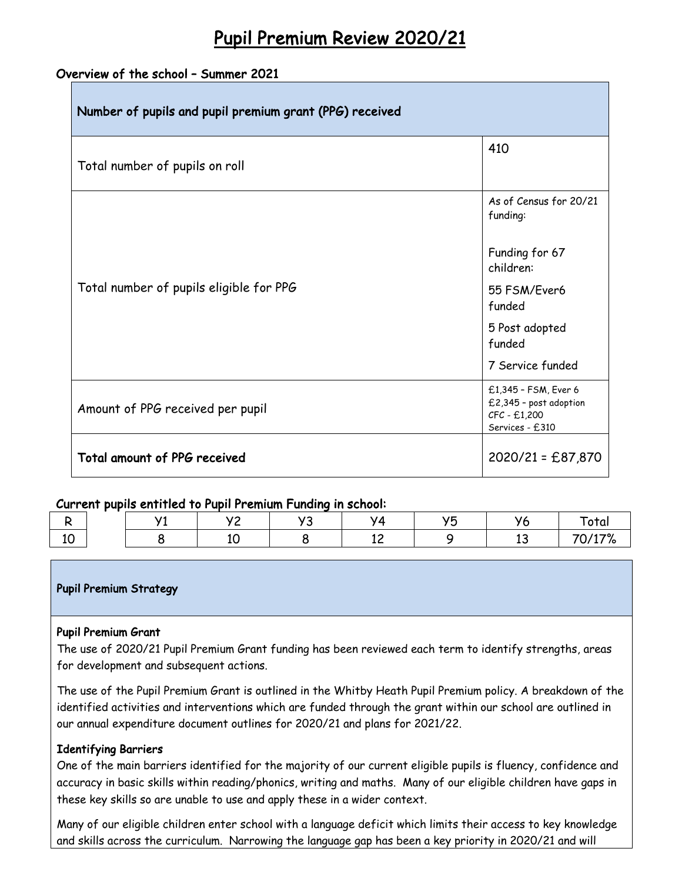# Pupil Premium Review 2020/21

# Overview of the school – Summer 2021

| Number of pupils and pupil premium grant (PPG) received |                                                                                   |  |
|---------------------------------------------------------|-----------------------------------------------------------------------------------|--|
| Total number of pupils on roll                          | 410                                                                               |  |
|                                                         | As of Census for 20/21<br>funding:                                                |  |
|                                                         | Funding for 67<br>children:                                                       |  |
| Total number of pupils eligible for PPG                 | 55 FSM/Ever6<br>funded                                                            |  |
|                                                         | 5 Post adopted<br>funded                                                          |  |
|                                                         | 7 Service funded                                                                  |  |
| Amount of PPG received per pupil                        | £1,345 - FSM, Ever 6<br>£2,345 - post adoption<br>CFC - £1,200<br>Services - £310 |  |
| Total amount of PPG received                            | $2020/21 = £87,870$                                                               |  |

## Current pupils entitled to Pupil Premium Funding in school:

|           | $\overline{\phantom{a}}$ | . . | . |         | $\overline{\phantom{0}}$ | ۷Z | ота                                         |
|-----------|--------------------------|-----|---|---------|--------------------------|----|---------------------------------------------|
| . .<br>⊥∪ |                          |     |   | -<br>-- |                          |    | $14 - 01$<br>$\overline{\phantom{a}}$<br>70 |

### Pupil Premium Strategy

### Pupil Premium Grant

The use of 2020/21 Pupil Premium Grant funding has been reviewed each term to identify strengths, areas for development and subsequent actions.

The use of the Pupil Premium Grant is outlined in the Whitby Heath Pupil Premium policy. A breakdown of the identified activities and interventions which are funded through the grant within our school are outlined in our annual expenditure document outlines for 2020/21 and plans for 2021/22.

### Identifying Barriers

One of the main barriers identified for the majority of our current eligible pupils is fluency, confidence and accuracy in basic skills within reading/phonics, writing and maths. Many of our eligible children have gaps in these key skills so are unable to use and apply these in a wider context.

Many of our eligible children enter school with a language deficit which limits their access to key knowledge and skills across the curriculum. Narrowing the language gap has been a key priority in 2020/21 and will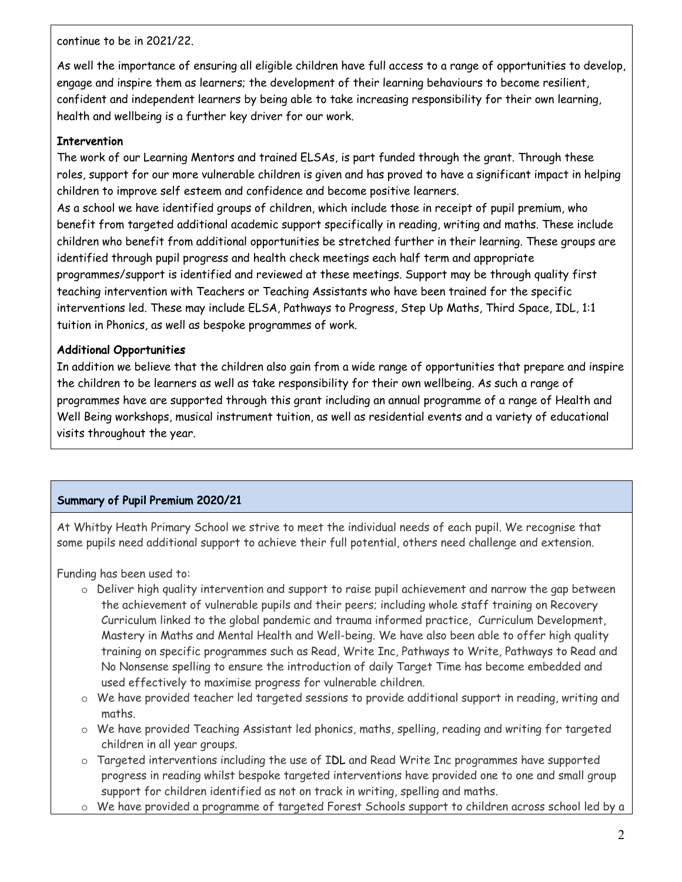continue to be in 2021/22.

As well the importance of ensuring all eligible children have full access to a range of opportunities to develop, engage and inspire them as learners; the development of their learning behaviours to become resilient, confident and independent learners by being able to take increasing responsibility for their own learning, health and wellbeing is a further key driver for our work.

## **Intervention**

The work of our Learning Mentors and trained ELSAs, is part funded through the grant. Through these roles, support for our more vulnerable children is given and has proved to have a significant impact in helping children to improve self esteem and confidence and become positive learners.

As a school we have identified groups of children, which include those in receipt of pupil premium, who benefit from targeted additional academic support specifically in reading, writing and maths. These include children who benefit from additional opportunities be stretched further in their learning. These groups are identified through pupil progress and health check meetings each half term and appropriate programmes/support is identified and reviewed at these meetings. Support may be through quality first teaching intervention with Teachers or Teaching Assistants who have been trained for the specific interventions led. These may include ELSA, Pathways to Progress, Step Up Maths, Third Space, IDL, 1:1 tuition in Phonics, as well as bespoke programmes of work.

## Additional Opportunities

In addition we believe that the children also gain from a wide range of opportunities that prepare and inspire the children to be learners as well as take responsibility for their own wellbeing. As such a range of programmes have are supported through this grant including an annual programme of a range of Health and Well Being workshops, musical instrument tuition, as well as residential events and a variety of educational visits throughout the year.

# Summary of Pupil Premium 2020/21

At Whitby Heath Primary School we strive to meet the individual needs of each pupil. We recognise that some pupils need additional support to achieve their full potential, others need challenge and extension.

Funding has been used to:

- o Deliver high quality intervention and support to raise pupil achievement and narrow the gap between the achievement of vulnerable pupils and their peers; including whole staff training on Recovery Curriculum linked to the global pandemic and trauma informed practice, Curriculum Development, Mastery in Maths and Mental Health and Well-being. We have also been able to offer high quality training on specific programmes such as Read, Write Inc, Pathways to Write, Pathways to Read and No Nonsense spelling to ensure the introduction of daily Target Time has become embedded and used effectively to maximise progress for vulnerable children.
- o We have provided teacher led targeted sessions to provide additional support in reading, writing and maths.
- o We have provided Teaching Assistant led phonics, maths, spelling, reading and writing for targeted children in all year groups.
- o Targeted interventions including the use of IDL and Read Write Inc programmes have supported progress in reading whilst bespoke targeted interventions have provided one to one and small group support for children identified as not on track in writing, spelling and maths.
- o We have provided a programme of targeted Forest Schools support to children across school led by a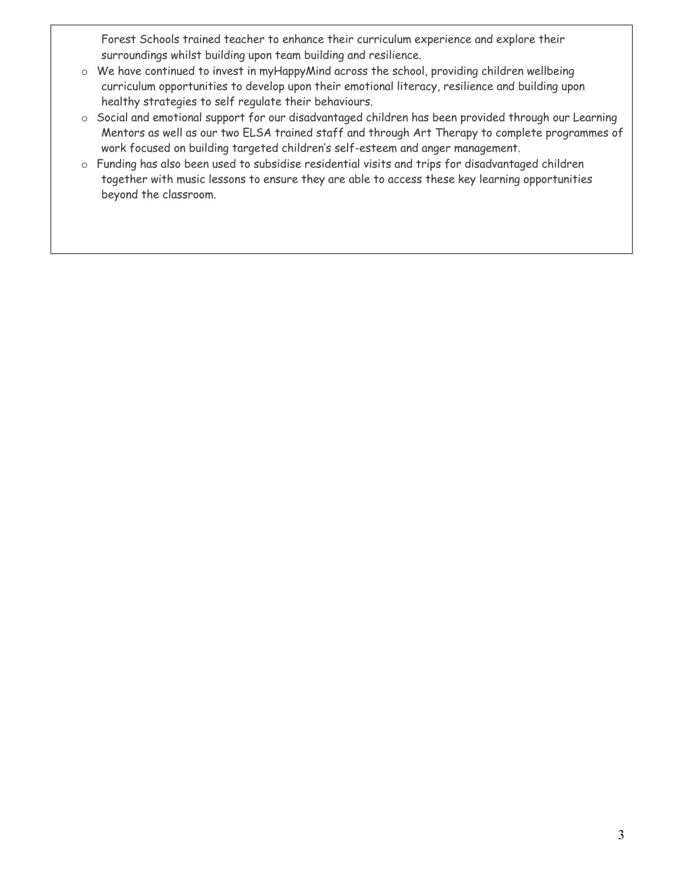Forest Schools trained teacher to enhance their curriculum experience and explore their surroundings whilst building upon team building and resilience.

- o We have continued to invest in myHappyMind across the school, providing children wellbeing curriculum opportunities to develop upon their emotional literacy, resilience and building upon healthy strategies to self regulate their behaviours.
- o Social and emotional support for our disadvantaged children has been provided through our Learning Mentors as well as our two ELSA trained staff and through Art Therapy to complete programmes of work focused on building targeted children's self-esteem and anger management.
- o Funding has also been used to subsidise residential visits and trips for disadvantaged children together with music lessons to ensure they are able to access these key learning opportunities beyond the classroom.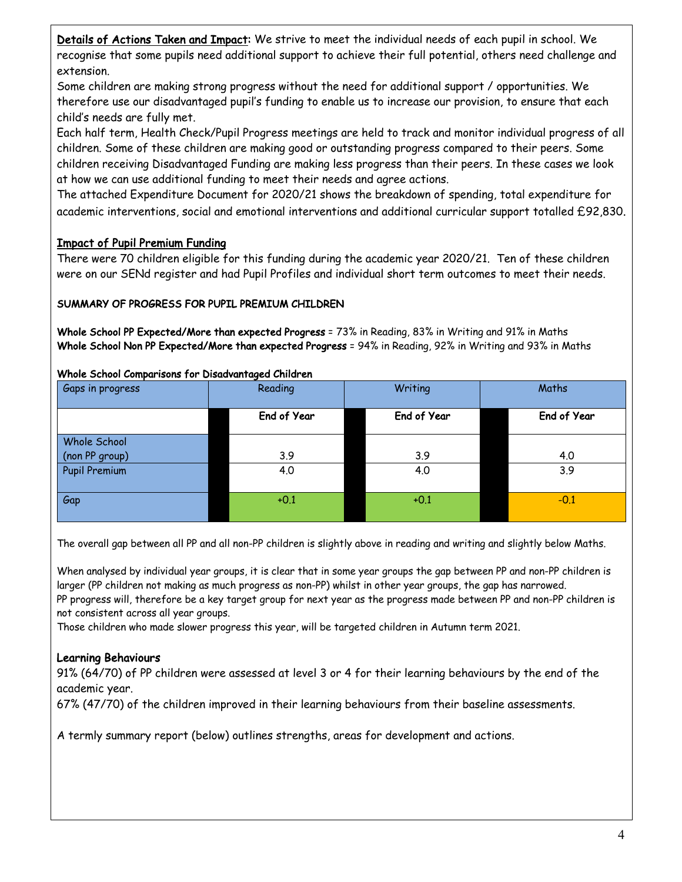Details of Actions Taken and Impact: We strive to meet the individual needs of each pupil in school. We recognise that some pupils need additional support to achieve their full potential, others need challenge and extension.

Some children are making strong progress without the need for additional support / opportunities. We therefore use our disadvantaged pupil's funding to enable us to increase our provision, to ensure that each child's needs are fully met.

Each half term, Health Check/Pupil Progress meetings are held to track and monitor individual progress of all children. Some of these children are making good or outstanding progress compared to their peers. Some children receiving Disadvantaged Funding are making less progress than their peers. In these cases we look at how we can use additional funding to meet their needs and agree actions.

The attached Expenditure Document for 2020/21 shows the breakdown of spending, total expenditure for academic interventions, social and emotional interventions and additional curricular support totalled £92,830.

# Impact of Pupil Premium Funding

There were 70 children eligible for this funding during the academic year 2020/21. Ten of these children were on our SENd register and had Pupil Profiles and individual short term outcomes to meet their needs.

# SUMMARY OF PROGRESS FOR PUPIL PREMIUM CHILDREN

Whole School PP Expected/More than expected Progress = 73% in Reading, 83% in Writing and 91% in Maths Whole School Non PP Expected/More than expected Progress = 94% in Reading, 92% in Writing and 93% in Maths

### Whole School Comparisons for Disadvantaged Children

| Gaps in progress     | Reading     | Writing     | Maths       |  |
|----------------------|-------------|-------------|-------------|--|
|                      | End of Year | End of Year | End of Year |  |
| Whole School         |             |             |             |  |
| (non PP group)       | 3.9         | 3.9         | 4.0         |  |
| <b>Pupil Premium</b> | 4.0         | 4.0         | 3.9         |  |
| Gap                  | $+0.1$      | $+0.1$      | $-0.1$      |  |

The overall gap between all PP and all non-PP children is slightly above in reading and writing and slightly below Maths.

When analysed by individual year groups, it is clear that in some year groups the gap between PP and non-PP children is larger (PP children not making as much progress as non-PP) whilst in other year groups, the gap has narrowed. PP progress will, therefore be a key target group for next year as the progress made between PP and non-PP children is not consistent across all year groups.

Those children who made slower progress this year, will be targeted children in Autumn term 2021.

# Learning Behaviours

91% (64/70) of PP children were assessed at level 3 or 4 for their learning behaviours by the end of the academic year.

67% (47/70) of the children improved in their learning behaviours from their baseline assessments.

A termly summary report (below) outlines strengths, areas for development and actions.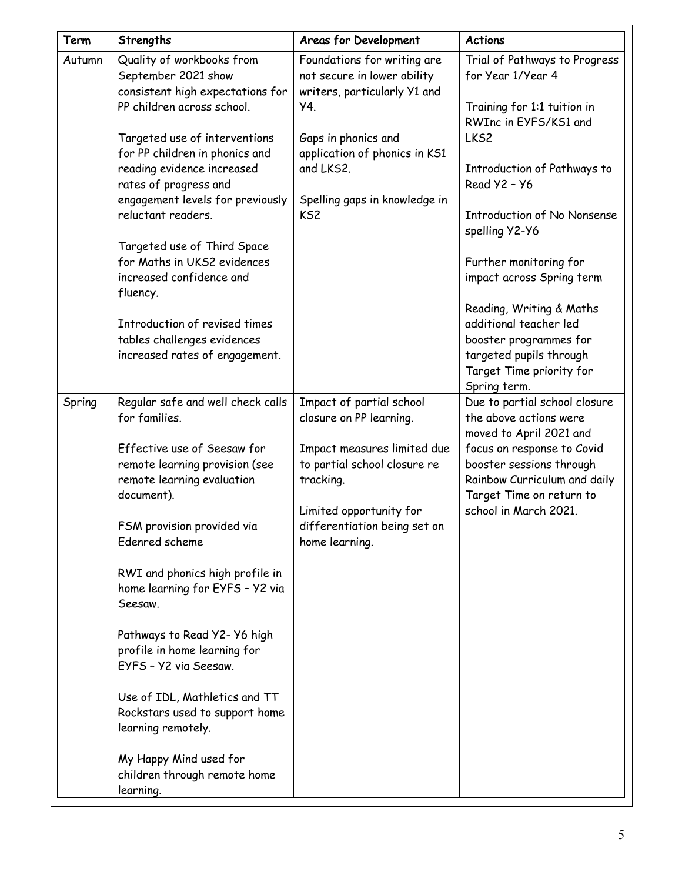| Term   | Strengths                                                                                          | Areas for Development                                                                      | <b>Actions</b>                                                                         |
|--------|----------------------------------------------------------------------------------------------------|--------------------------------------------------------------------------------------------|----------------------------------------------------------------------------------------|
| Autumn | Quality of workbooks from<br>September 2021 show<br>consistent high expectations for               | Foundations for writing are<br>not secure in lower ability<br>writers, particularly Y1 and | Trial of Pathways to Progress<br>for Year 1/Year 4                                     |
|        | PP children across school.                                                                         | Y4.                                                                                        | Training for 1:1 tuition in<br>RWInc in EYFS/KS1 and                                   |
|        | Targeted use of interventions<br>for PP children in phonics and<br>reading evidence increased      | Gaps in phonics and<br>application of phonics in KS1<br>and LKS2.                          | LKS <sub>2</sub><br>Introduction of Pathways to                                        |
|        | rates of progress and<br>engagement levels for previously                                          | Spelling gaps in knowledge in                                                              | Read $Y2 - Y6$                                                                         |
|        | reluctant readers.                                                                                 | KS <sub>2</sub>                                                                            | <b>Introduction of No Nonsense</b><br>spelling Y2-Y6                                   |
|        | Targeted use of Third Space<br>for Maths in UKS2 evidences<br>increased confidence and<br>fluency. |                                                                                            | Further monitoring for<br>impact across Spring term                                    |
|        |                                                                                                    |                                                                                            | Reading, Writing & Maths                                                               |
|        | Introduction of revised times<br>tables challenges evidences                                       |                                                                                            | additional teacher led<br>booster programmes for                                       |
|        | increased rates of engagement.                                                                     |                                                                                            | targeted pupils through<br>Target Time priority for<br>Spring term.                    |
| Spring | Regular safe and well check calls<br>for families.                                                 | Impact of partial school<br>closure on PP learning.                                        | Due to partial school closure<br>the above actions were<br>moved to April 2021 and     |
|        | Effective use of Seesaw for<br>remote learning provision (see<br>remote learning evaluation        | Impact measures limited due<br>to partial school closure re<br>tracking.                   | focus on response to Covid<br>booster sessions through<br>Rainbow Curriculum and daily |
|        | document).                                                                                         | Limited opportunity for                                                                    | Target Time on return to<br>school in March 2021.                                      |
|        | FSM provision provided via<br>Edenred scheme                                                       | differentiation being set on<br>home learning.                                             |                                                                                        |
|        | RWI and phonics high profile in<br>home learning for EYFS - Y2 via<br>Seesaw.                      |                                                                                            |                                                                                        |
|        | Pathways to Read Y2- Y6 high<br>profile in home learning for<br>EYFS - Y2 via Seesaw.              |                                                                                            |                                                                                        |
|        | Use of IDL, Mathletics and TT<br>Rockstars used to support home<br>learning remotely.              |                                                                                            |                                                                                        |
|        | My Happy Mind used for<br>children through remote home<br>learning.                                |                                                                                            |                                                                                        |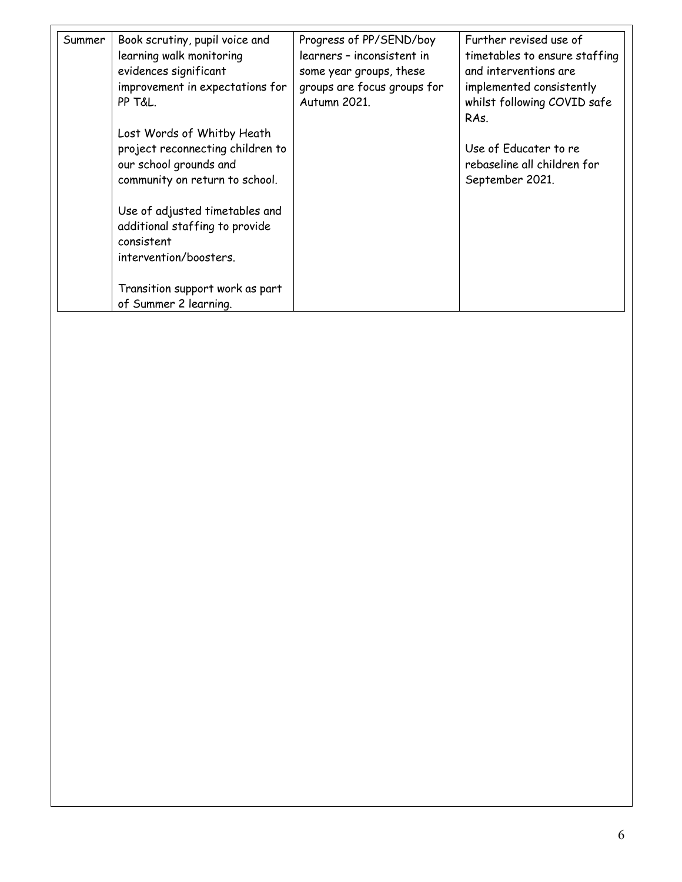| Summer | Book scrutiny, pupil voice and<br>learning walk monitoring<br>evidences significant<br>improvement in expectations for<br>PP T&L. | Progress of PP/SEND/boy<br>learners - inconsistent in<br>some year groups, these<br>groups are focus groups for<br>Autumn 2021. | Further revised use of<br>timetables to ensure staffing<br>and interventions are<br>implemented consistently<br>whilst following COVID safe<br>RAS. |
|--------|-----------------------------------------------------------------------------------------------------------------------------------|---------------------------------------------------------------------------------------------------------------------------------|-----------------------------------------------------------------------------------------------------------------------------------------------------|
|        | Lost Words of Whitby Heath<br>project reconnecting children to<br>our school grounds and<br>community on return to school.        |                                                                                                                                 | Use of Educater to re<br>rebaseline all children for<br>September 2021.                                                                             |
|        | Use of adjusted timetables and<br>additional staffing to provide<br>consistent<br>intervention/boosters.                          |                                                                                                                                 |                                                                                                                                                     |
|        | Transition support work as part<br>of Summer 2 learning.                                                                          |                                                                                                                                 |                                                                                                                                                     |